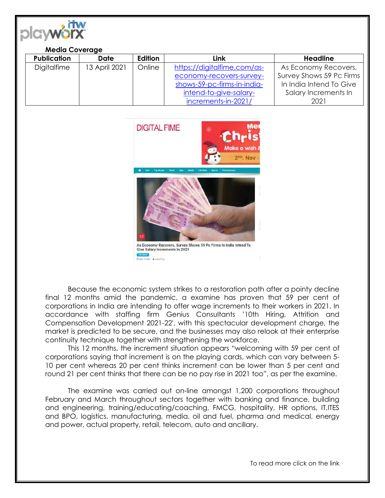

## **Media Coverage**

| <b>Publication</b> | Date          | <b>Edition</b> | Link                        | <b>Headline</b>          |
|--------------------|---------------|----------------|-----------------------------|--------------------------|
| Digitalfime        | 13 April 2021 | Online         | https://digitalfime.com/as- | As Economy Recovers,     |
|                    |               |                | economy-recovers-survey-    | Survey Shows 59 Pc Firms |
|                    |               |                | shows-59-pc-firms-in-india- | In India Intend To Give  |
|                    |               |                | intend-to-give-salary-      | Salary Increments In     |
|                    |               |                | increments-in-2021/         | 2021                     |



Because the economic system strikes to a restoration path after a pointy decline final 12 months amid the pandemic, a examine has proven that 59 per cent of corporations in India are intending to offer wage increments to their workers in 2021. In accordance with staffing firm Genius Consultants '10th Hiring, Attrition and Compensation Development 2021-22′, with this spectacular development charge, the market is predicted to be secure, and the businesses may also relook at their enterprise continuity technique together with strengthening the workforce.

This 12 months, the increment situation appears "welcoming with 59 per cent of corporations saying that increment is on the playing cards, which can vary between 5- 10 per cent whereas 20 per cent thinks increment can be lower than 5 per cent and round 21 per cent thinks that there can be no pay rise in 2021 too", as per the examine.

The examine was carried out on-line amongst 1,200 corporations throughout February and March throughout sectors together with banking and finance, building and engineering, training/educating/coaching, FMCG, hospitality, HR options, IT,ITES and BPO, logistics, manufacturing, media, oil and fuel, pharma and medical, energy and power, actual property, retail, telecom, auto and ancillary.

To read more click on the link